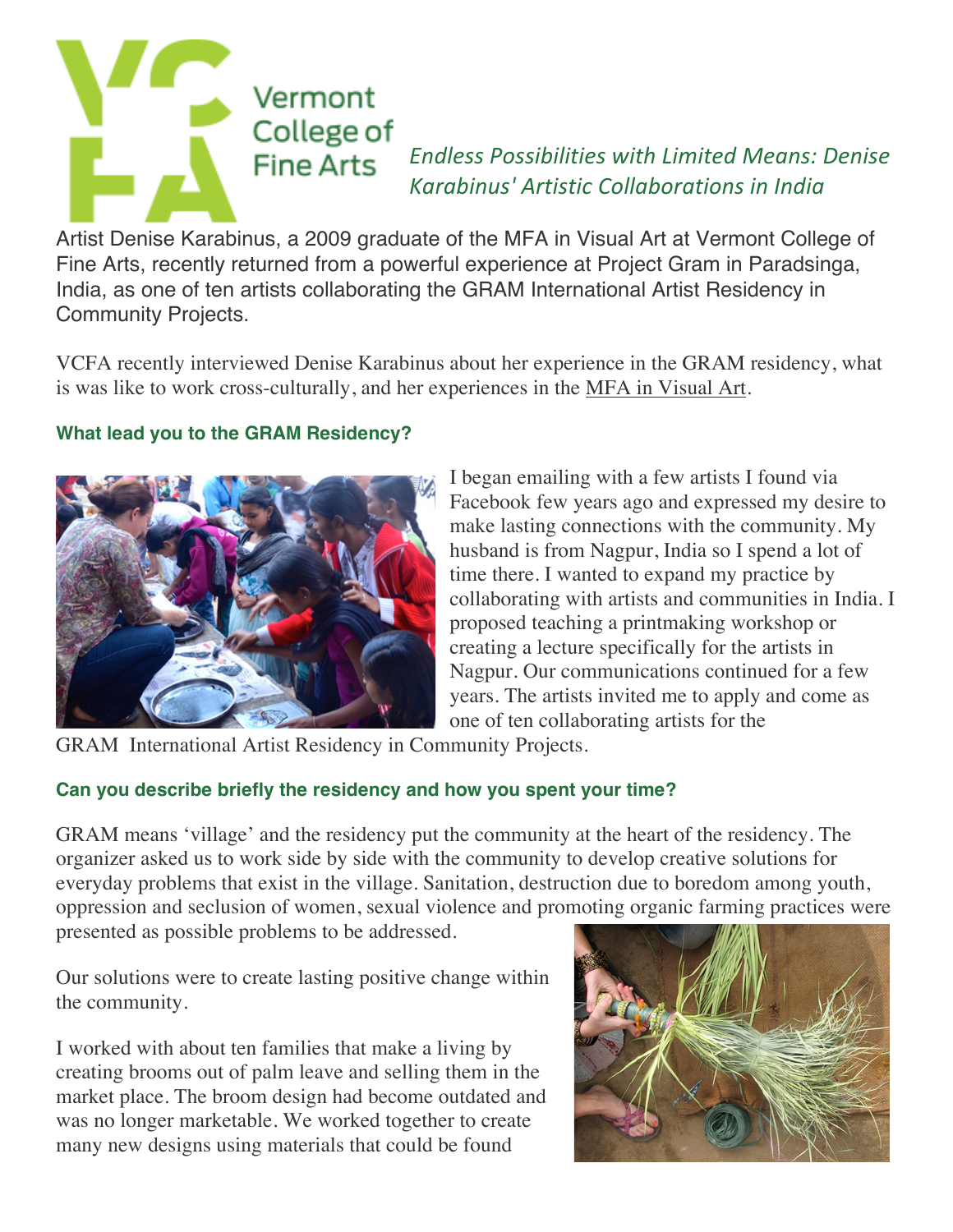

*Endless Possibilities with Limited Means: Denise Karabinus' Artistic Collaborations in India*

Artist Denise Karabinus, a 2009 graduate of the MFA in Visual Art at Vermont College of Fine Arts, recently returned from a powerful experience at Project Gram in Paradsinga, India, as one of ten artists collaborating the GRAM International Artist Residency in Community Projects.

VCFA recently interviewed Denise Karabinus about her experience in the GRAM residency, what is was like to work cross-culturally, and her experiences in the MFA in Visual Art.

## **What lead you to the GRAM Residency?**



I began emailing with a few artists I found via Facebook few years ago and expressed my desire to make lasting connections with the community. My husband is from Nagpur, India so I spend a lot of time there. I wanted to expand my practice by collaborating with artists and communities in India. I proposed teaching a printmaking workshop or creating a lecture specifically for the artists in Nagpur. Our communications continued for a few years. The artists invited me to apply and come as one of ten collaborating artists for the

GRAM International Artist Residency in Community Projects.

# **Can you describe briefly the residency and how you spent your time?**

GRAM means 'village' and the residency put the community at the heart of the residency. The organizer asked us to work side by side with the community to develop creative solutions for everyday problems that exist in the village. Sanitation, destruction due to boredom among youth, oppression and seclusion of women, sexual violence and promoting organic farming practices were presented as possible problems to be addressed.

Our solutions were to create lasting positive change within the community.

I worked with about ten families that make a living by creating brooms out of palm leave and selling them in the market place. The broom design had become outdated and was no longer marketable. We worked together to create many new designs using materials that could be found

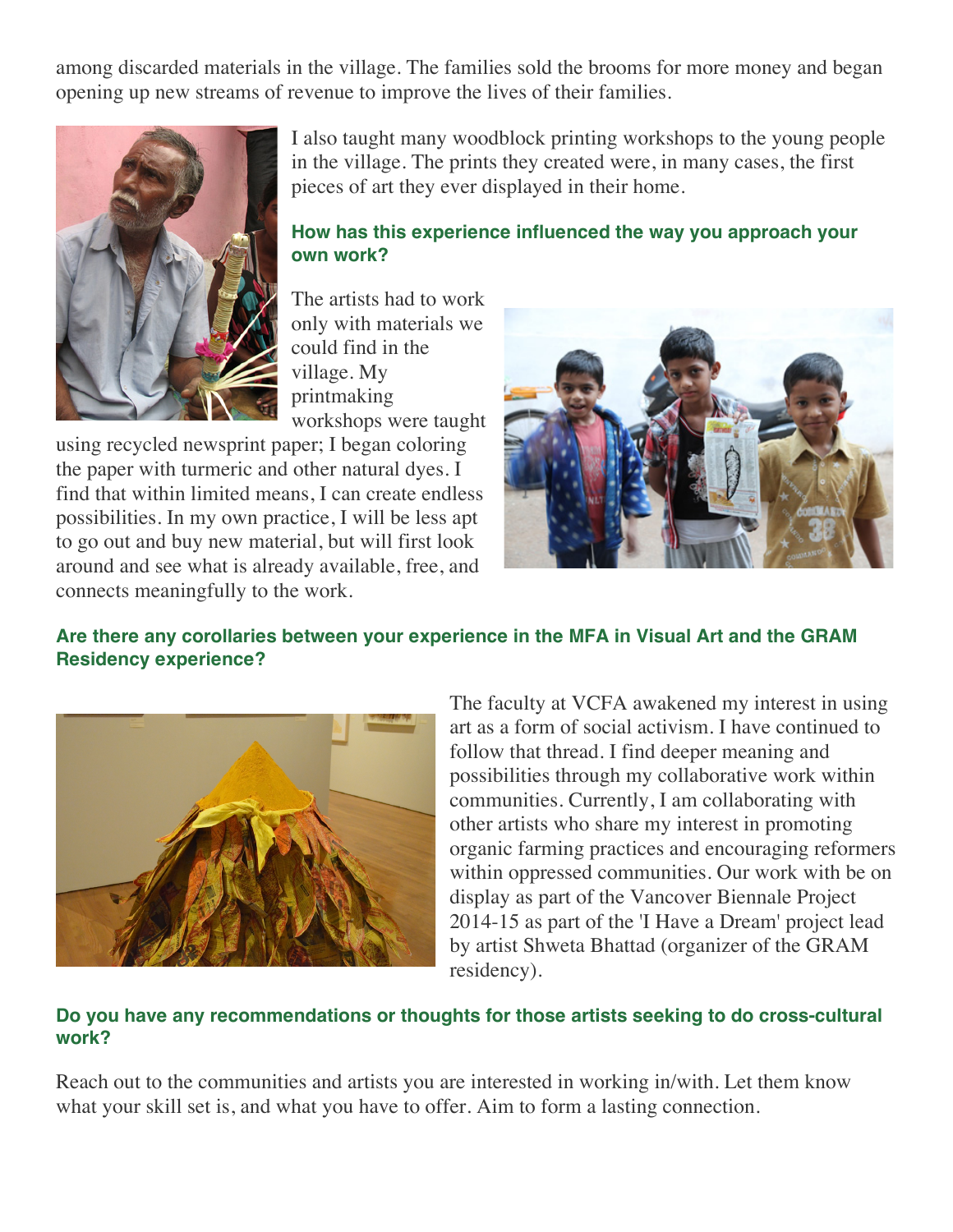among discarded materials in the village. The families sold the brooms for more money and began opening up new streams of revenue to improve the lives of their families.



I also taught many woodblock printing workshops to the young people in the village. The prints they created were, in many cases, the first pieces of art they ever displayed in their home.

#### **How has this experience influenced the way you approach your own work?**

The artists had to work only with materials we could find in the village. My printmaking workshops were taught

using recycled newsprint paper; I began coloring the paper with turmeric and other natural dyes. I find that within limited means, I can create endless possibilities. In my own practice, I will be less apt to go out and buy new material, but will first look around and see what is already available, free, and connects meaningfully to the work.



## **Are there any corollaries between your experience in the MFA in Visual Art and the GRAM Residency experience?**



The faculty at VCFA awakened my interest in using art as a form of social activism. I have continued to follow that thread. I find deeper meaning and possibilities through my collaborative work within communities. Currently, I am collaborating with other artists who share my interest in promoting organic farming practices and encouraging reformers within oppressed communities. Our work with be on display as part of the Vancover Biennale Project 2014-15 as part of the 'I Have a Dream' project lead by artist Shweta Bhattad (organizer of the GRAM residency).

### **Do you have any recommendations or thoughts for those artists seeking to do cross-cultural work?**

Reach out to the communities and artists you are interested in working in/with. Let them know what your skill set is, and what you have to offer. Aim to form a lasting connection.